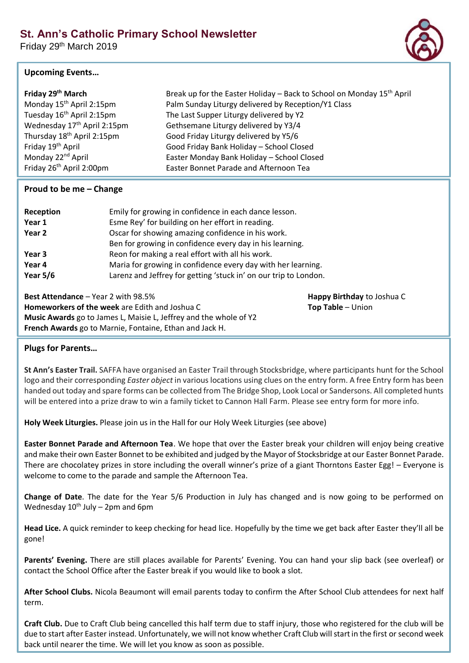Friday 29th March 2019

## **Upcoming Events…**

| Friday 29 <sup>th</sup> March           | Break up for the Easter Holiday – Back to School on Monday 15 <sup>th</sup> April |
|-----------------------------------------|-----------------------------------------------------------------------------------|
| Monday 15 <sup>th</sup> April 2:15pm    | Palm Sunday Liturgy delivered by Reception/Y1 Class                               |
| Tuesday 16 <sup>th</sup> April 2:15pm   | The Last Supper Liturgy delivered by Y2                                           |
| Wednesday 17 <sup>th</sup> April 2:15pm | Gethsemane Liturgy delivered by Y3/4                                              |
| Thursday 18 <sup>th</sup> April 2:15pm  | Good Friday Liturgy delivered by Y5/6                                             |
| Friday 19 <sup>th</sup> April           | Good Friday Bank Holiday - School Closed                                          |
| Monday 22 <sup>nd</sup> April           | Easter Monday Bank Holiday - School Closed                                        |
| Friday 26 <sup>th</sup> April 2:00pm    | Easter Bonnet Parade and Afternoon Tea                                            |

## **Proud to be me – Change**

| Reception                                             | Emily for growing in confidence in each dance lesson.                                                                                                                                |                            |  |
|-------------------------------------------------------|--------------------------------------------------------------------------------------------------------------------------------------------------------------------------------------|----------------------------|--|
| Year 1                                                | Esme Rey' for building on her effort in reading.                                                                                                                                     |                            |  |
| Year 2                                                | Oscar for showing amazing confidence in his work.                                                                                                                                    |                            |  |
|                                                       | Ben for growing in confidence every day in his learning.                                                                                                                             |                            |  |
| Year 3                                                | Reon for making a real effort with all his work.<br>Maria for growing in confidence every day with her learning.<br>Larenz and Jeffrey for getting 'stuck in' on our trip to London. |                            |  |
| Year 4                                                |                                                                                                                                                                                      |                            |  |
| Year $5/6$                                            |                                                                                                                                                                                      |                            |  |
| <b>Best Attendance – Year 2 with 98.5%</b>            |                                                                                                                                                                                      | Happy Birthday to Joshua C |  |
| <b>Homeworkers of the week</b> are Edith and Joshua C |                                                                                                                                                                                      | Top Table - Union          |  |
|                                                       | Music Autorale so to Jonese L. Moisie L. Jeffrey cred the urbels of V3                                                                                                               |                            |  |

**Music Awards** go to James L, Maisie L, Jeffrey and the whole of Y2 **French Awards** go to Marnie, Fontaine, Ethan and Jack H.

## **Plugs for Parents…**

**St Ann's Easter Trail.** SAFFA have organised an Easter Trail through Stocksbridge, where participants hunt for the School logo and their corresponding *Easter object* in various locations using clues on the entry form. A free Entry form has been handed out today and spare forms can be collected from The Bridge Shop, Look Local or Sandersons. All completed hunts will be entered into a prize draw to win a family ticket to Cannon Hall Farm. Please see entry form for more info.

**Holy Week Liturgies.** Please join us in the Hall for our Holy Week Liturgies (see above)

**Easter Bonnet Parade and Afternoon Tea**. We hope that over the Easter break your children will enjoy being creative and make their own Easter Bonnet to be exhibited and judged by the Mayor of Stocksbridge at our Easter Bonnet Parade. There are chocolatey prizes in store including the overall winner's prize of a giant Thorntons Easter Egg! – Everyone is welcome to come to the parade and sample the Afternoon Tea.

**Change of Date**. The date for the Year 5/6 Production in July has changed and is now going to be performed on Wednesday  $10^{th}$  July – 2pm and 6pm

**Head Lice.** A quick reminder to keep checking for head lice. Hopefully by the time we get back after Easter they'll all be gone!

**Parents' Evening.** There are still places available for Parents' Evening. You can hand your slip back (see overleaf) or contact the School Office after the Easter break if you would like to book a slot.

**After School Clubs.** Nicola Beaumont will email parents today to confirm the After School Club attendees for next half term.

**Craft Club.** Due to Craft Club being cancelled this half term due to staff injury, those who registered for the club will be due to start after Easter instead. Unfortunately, we will not know whether Craft Club will start in the first or second week back until nearer the time. We will let you know as soon as possible.